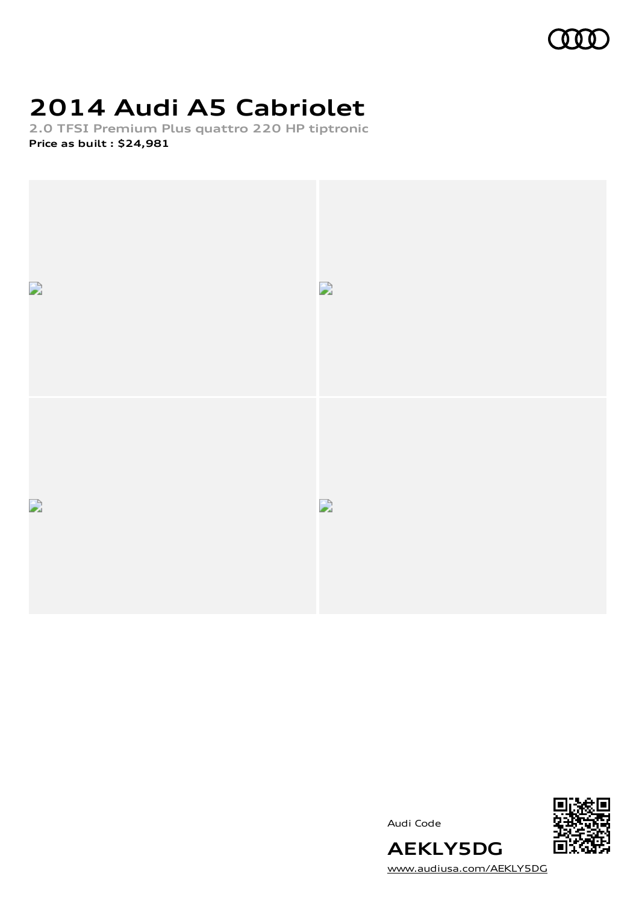

# **2014 Audi A5 Cabriolet**

**2.0 TFSI Premium Plus quattro 220 HP tiptronic Price as built [:](#page-8-0) \$24,981**





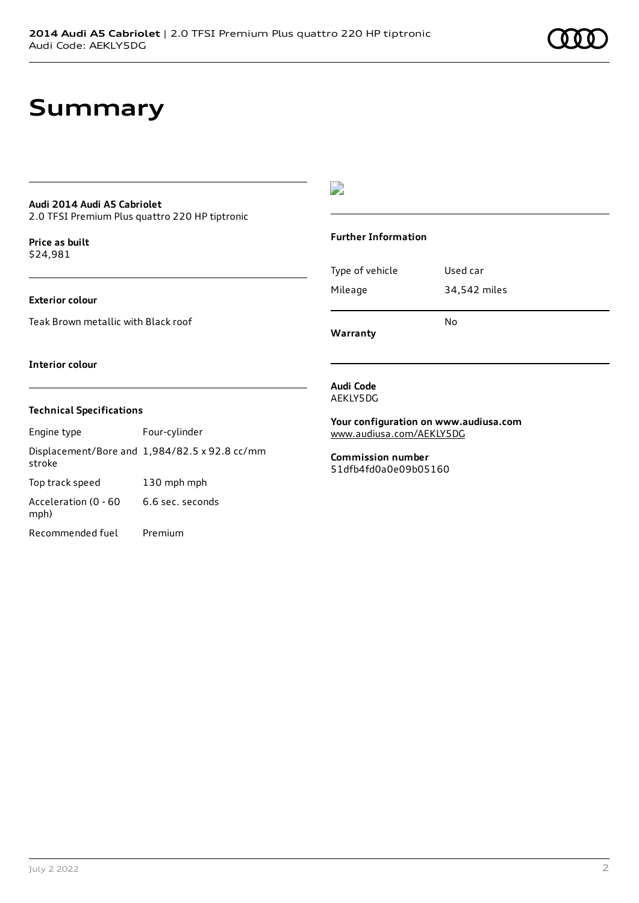### **Summary**

#### **Audi 2014 Audi A5 Cabriolet**

2.0 TFSI Premium Plus quattro 220 HP tiptronic

**Price as buil[t](#page-8-0)** \$24,981

#### **Exterior colour**

Teak Brown metallic with Black roof

#### D

#### **Further Information**

Type of vehicle Used car Mileage 34,542 miles No

**Warranty**

#### **Interior colour**

#### **Technical Specifications**

Engine type Four-cylinder Displacement/Bore and 1,984/82.5 x 92.8 cc/mm stroke Top track speed 130 mph mph Acceleration (0 - 60 mph) 6.6 sec. seconds

Recommended fuel Premium

#### **Audi Code** AEKLY5DG

**Your configuration on www.audiusa.com** [www.audiusa.com/AEKLY5DG](https://www.audiusa.com/AEKLY5DG)

**Commission number** 51dfb4fd0a0e09b05160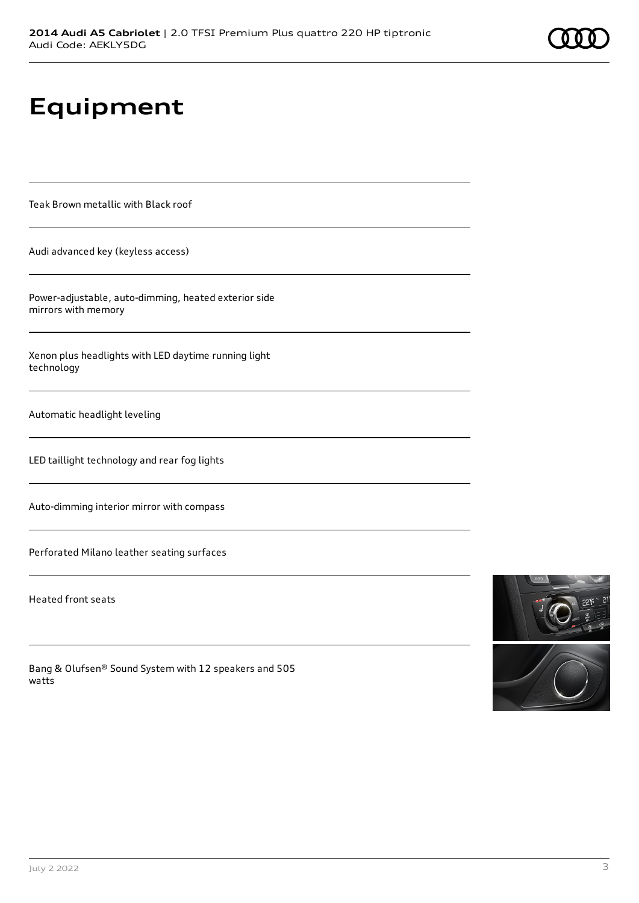# **Equipment**

Teak Brown metallic with Black roof

Audi advanced key (keyless access)

Power-adjustable, auto-dimming, heated exterior side mirrors with memory

Xenon plus headlights with LED daytime running light technology

Automatic headlight leveling

LED taillight technology and rear fog lights

Auto-dimming interior mirror with compass

Perforated Milano leather seating surfaces

Heated front seats

Bang & Olufsen® Sound System with 12 speakers and 505 watts



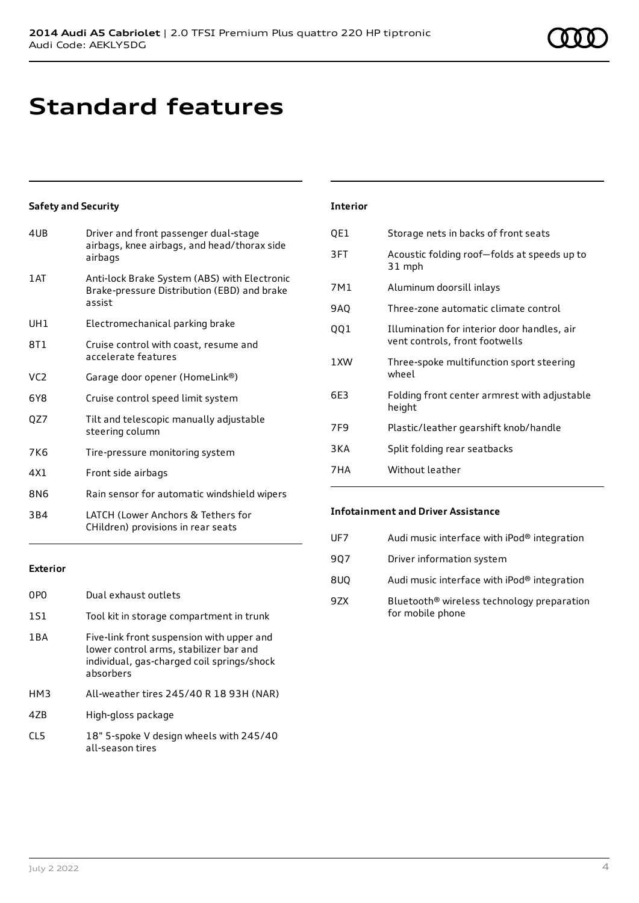### **Standard features**

#### **Safety and Security**

| 4UB             | Driver and front passenger dual-stage<br>airbags, knee airbags, and head/thorax side<br>airbags       |
|-----------------|-------------------------------------------------------------------------------------------------------|
| 1 AT            | Anti-lock Brake System (ABS) with Electronic<br>Brake-pressure Distribution (EBD) and brake<br>assist |
| UH1             | Electromechanical parking brake                                                                       |
| 8T1             | Cruise control with coast, resume and<br>accelerate features                                          |
| VC <sub>2</sub> | Garage door opener (HomeLink®)                                                                        |
| 6Y8             | Cruise control speed limit system                                                                     |
| QZ7             | Tilt and telescopic manually adjustable<br>steering column                                            |
| 7K <sub>6</sub> | Tire-pressure monitoring system                                                                       |
| 4X1             | Front side airbags                                                                                    |
| 8N6             | Rain sensor for automatic windshield wipers                                                           |
| 3B4             | LATCH (Lower Anchors & Tethers for<br>CHildren) provisions in rear seats                              |

#### **Exterior**

| 0PO   | Dual exhaust outlets                                                                                                                           |
|-------|------------------------------------------------------------------------------------------------------------------------------------------------|
| 1S1   | Tool kit in storage compartment in trunk                                                                                                       |
| 1 B A | Five-link front suspension with upper and<br>lower control arms, stabilizer bar and<br>individual, gas-charged coil springs/shock<br>absorbers |
| HM3   | All-weather tires 245/40 R 18 93H (NAR)                                                                                                        |
| 47B   | High-gloss package                                                                                                                             |
| CL5   | 18" 5-spoke V design wheels with 245/40<br>all-season tires                                                                                    |

#### **Interior**

| QE1   | Storage nets in backs of front seats                                          |
|-------|-------------------------------------------------------------------------------|
| 3FT   | Acoustic folding roof-folds at speeds up to<br>31 mph                         |
| 7M1   | Aluminum doorsill inlays                                                      |
| 9AQ   | Three-zone automatic climate control                                          |
| 001   | Illumination for interior door handles, air<br>vent controls, front footwells |
| 1 XW  | Three-spoke multifunction sport steering<br>wheel                             |
| 6E3   | Folding front center armrest with adjustable<br>height                        |
| 7F9   | Plastic/leather gearshift knob/handle                                         |
| 3 K A | Split folding rear seatbacks                                                  |
| 7HA   | Without leather                                                               |
|       |                                                                               |

#### **Infotainment and Driver Assistance**

| UF7 | Audi music interface with iPod <sup>®</sup> integration                    |
|-----|----------------------------------------------------------------------------|
| 907 | Driver information system                                                  |
| 8UQ | Audi music interface with iPod® integration                                |
| 97X | Bluetooth <sup>®</sup> wireless technology preparation<br>for mobile phone |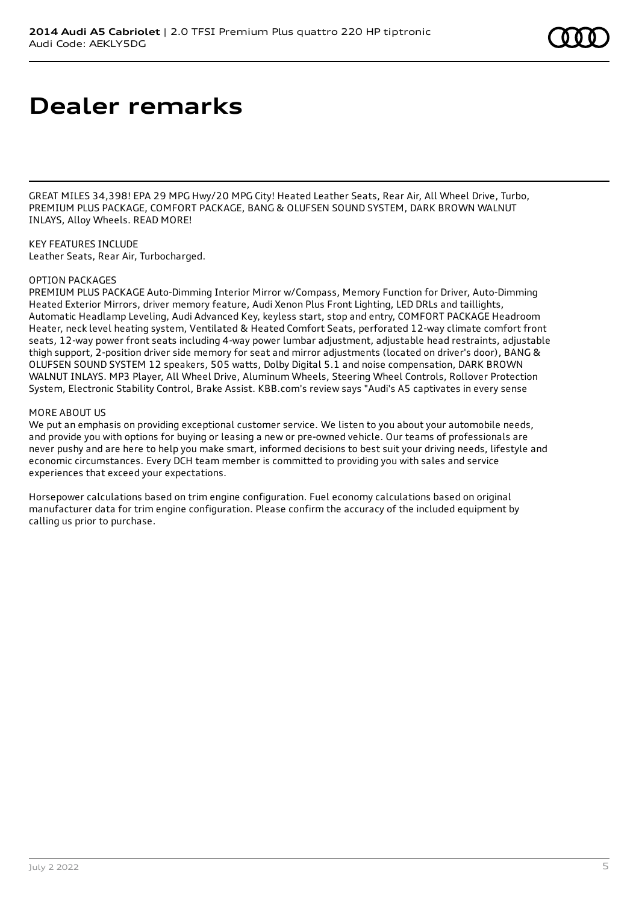### **Dealer remarks**

GREAT MILES 34,398! EPA 29 MPG Hwy/20 MPG City! Heated Leather Seats, Rear Air, All Wheel Drive, Turbo, PREMIUM PLUS PACKAGE, COMFORT PACKAGE, BANG & OLUFSEN SOUND SYSTEM, DARK BROWN WALNUT INLAYS, Alloy Wheels. READ MORE!

KEY FEATURES INCLUDE Leather Seats, Rear Air, Turbocharged.

#### OPTION PACKAGES

PREMIUM PLUS PACKAGE Auto-Dimming Interior Mirror w/Compass, Memory Function for Driver, Auto-Dimming Heated Exterior Mirrors, driver memory feature, Audi Xenon Plus Front Lighting, LED DRLs and taillights, Automatic Headlamp Leveling, Audi Advanced Key, keyless start, stop and entry, COMFORT PACKAGE Headroom Heater, neck level heating system, Ventilated & Heated Comfort Seats, perforated 12-way climate comfort front seats, 12-way power front seats including 4-way power lumbar adjustment, adjustable head restraints, adjustable thigh support, 2-position driver side memory for seat and mirror adjustments (located on driver's door), BANG & OLUFSEN SOUND SYSTEM 12 speakers, 505 watts, Dolby Digital 5.1 and noise compensation, DARK BROWN WALNUT INLAYS. MP3 Player, All Wheel Drive, Aluminum Wheels, Steering Wheel Controls, Rollover Protection System, Electronic Stability Control, Brake Assist. KBB.com's review says "Audi's A5 captivates in every sense

#### MORE ABOUT US

We put an emphasis on providing exceptional customer service. We listen to you about your automobile needs, and provide you with options for buying or leasing a new or pre-owned vehicle. Our teams of professionals are never pushy and are here to help you make smart, informed decisions to best suit your driving needs, lifestyle and economic circumstances. Every DCH team member is committed to providing you with sales and service experiences that exceed your expectations.

Horsepower calculations based on trim engine configuration. Fuel economy calculations based on original manufacturer data for trim engine configuration. Please confirm the accuracy of the included equipment by calling us prior to purchase.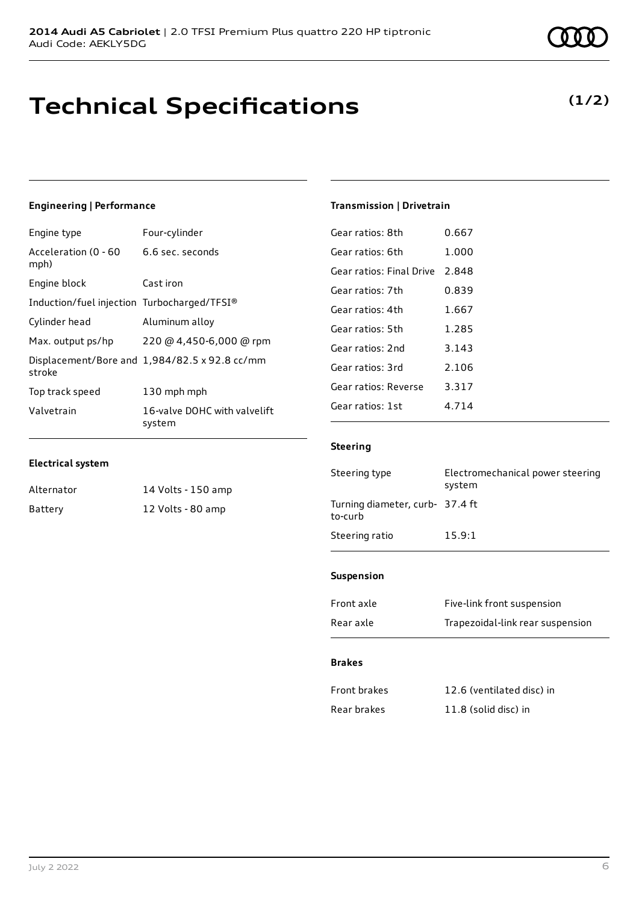### **Technical Specifications**

### **(1/2)**

### **Engineering | Performance**

| Engine type                                 | Four-cylinder                                 |
|---------------------------------------------|-----------------------------------------------|
| Acceleration (0 - 60<br>mph)                | 6.6 sec. seconds                              |
| Engine block                                | Cast iron                                     |
| Induction/fuel injection Turbocharged/TFSI® |                                               |
| Cylinder head                               | Aluminum alloy                                |
| Max. output ps/hp                           | 220 @ 4,450-6,000 @ rpm                       |
| stroke                                      | Displacement/Bore and 1,984/82.5 x 92.8 cc/mm |
| Top track speed                             | 130 mph mph                                   |
| Valvetrain                                  | 16-valve DOHC with valvelift<br>system        |

#### **Electrical system**

| Alternator | 14 Volts - 150 amp |
|------------|--------------------|
| Battery    | 12 Volts - 80 amp  |

#### **Transmission | Drivetrain**

| Gear ratios: 8th         | 0.667   |
|--------------------------|---------|
| Gear ratios: 6th         | 1.000   |
| Gear ratios: Final Drive | 2.848   |
| Gear ratios: 7th         | 0.839   |
| Gear ratios: 4th         | 1.667   |
| Gear ratios: 5th         | 1.285   |
| Gear ratios: 2nd         | 3.143   |
| Gear ratios: 3rd         | 2.106   |
| Gear ratios: Reverse     | 3.317   |
| Gear ratios: 1st         | 4 7 1 4 |
|                          |         |

#### **Steering**

| Steering type                             | Electromechanical power steering<br>system |
|-------------------------------------------|--------------------------------------------|
| Turning diameter, curb-37.4 ft<br>to-curb |                                            |
| Steering ratio                            | 15.9:1                                     |

#### **Suspension**

| Front axle | Five-link front suspension       |
|------------|----------------------------------|
| Rear axle  | Trapezoidal-link rear suspension |

#### **Brakes**

| Front brakes | 12.6 (ventilated disc) in |
|--------------|---------------------------|
| Rear brakes  | 11.8 (solid disc) in      |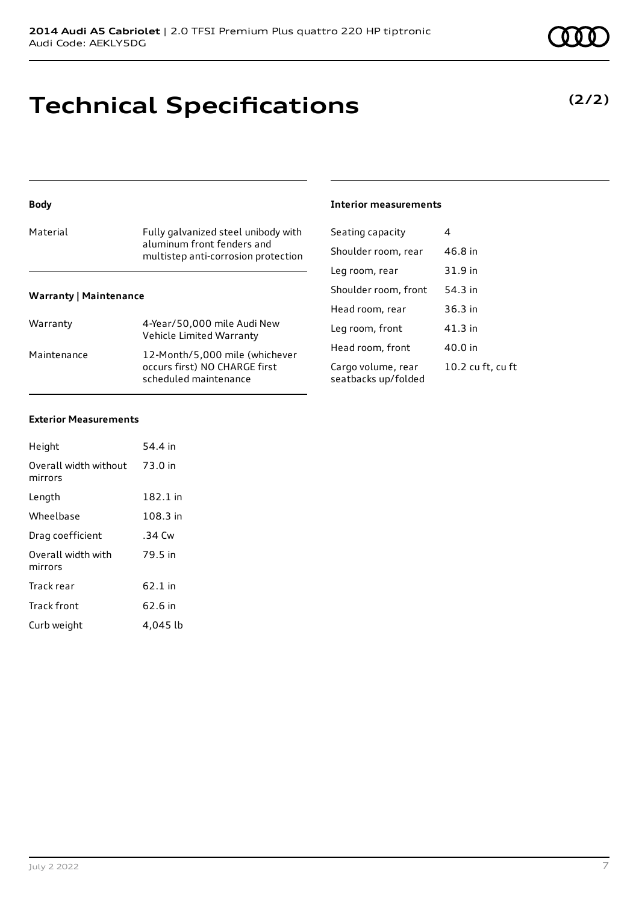### **Technical Specifications**

#### **Body**

| Material | Fully galvanized steel unibody with<br>aluminum front fenders and<br>multistep anti-corrosion protection |
|----------|----------------------------------------------------------------------------------------------------------|
|          |                                                                                                          |

#### **Warranty | Maintenance**

| Warranty    | 4-Year/50,000 mile Audi New<br>Vehicle Limited Warranty                                  |
|-------------|------------------------------------------------------------------------------------------|
| Maintenance | 12-Month/5,000 mile (whichever<br>occurs first) NO CHARGE first<br>scheduled maintenance |

#### **Interior measurements**

| Seating capacity                          | 4                 |
|-------------------------------------------|-------------------|
| Shoulder room, rear                       | 46.8 in           |
| Leg room, rear                            | 31.9 in           |
| Shoulder room, front                      | 54.3 in           |
| Head room, rear                           | $36.3$ in         |
| Leg room, front                           | 41.3 in           |
| Head room, front                          | 40.0 in           |
| Cargo volume, rear<br>seatbacks up/folded | 10.2 cu ft, cu ft |

#### **Exterior Measurements**

| Height                           | 54.4 in  |
|----------------------------------|----------|
| Overall width without<br>mirrors | 73.0 in  |
| Length                           | 182.1 in |
| Wheelbase                        | 108.3 in |
| Drag coefficient                 | .34 Cw   |
| Overall width with<br>mirrors    | 79.5 in  |
| Track rear                       | 62.1 in  |
| <b>Track front</b>               | 62.6 in  |
| Curb weight                      | 4,045 lb |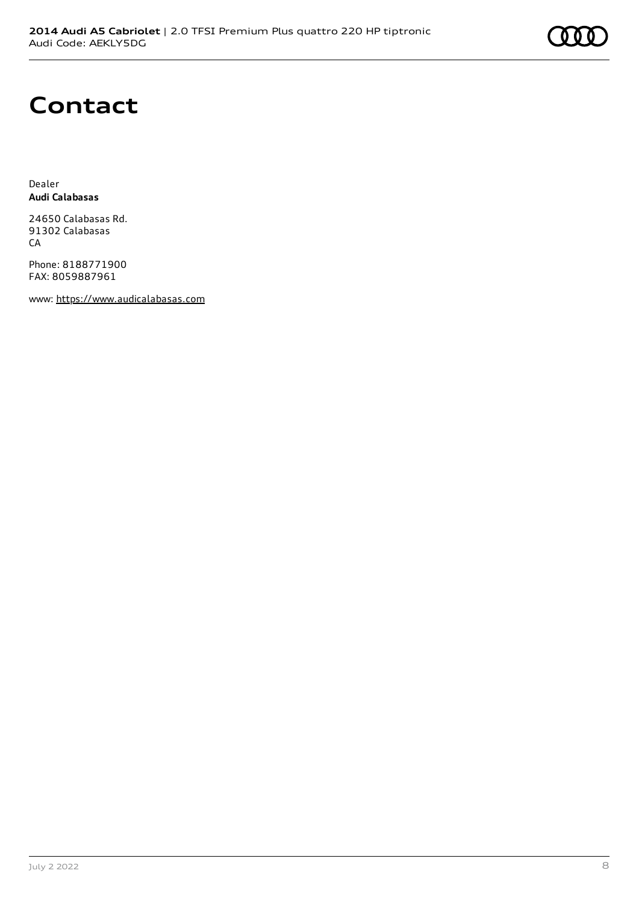

### **Contact**

Dealer **Audi Calabasas**

24650 Calabasas Rd. 91302 Calabasas CA

Phone: 8188771900 FAX: 8059887961

www: [https://www.audicalabasas.com](https://www.audicalabasas.com/)